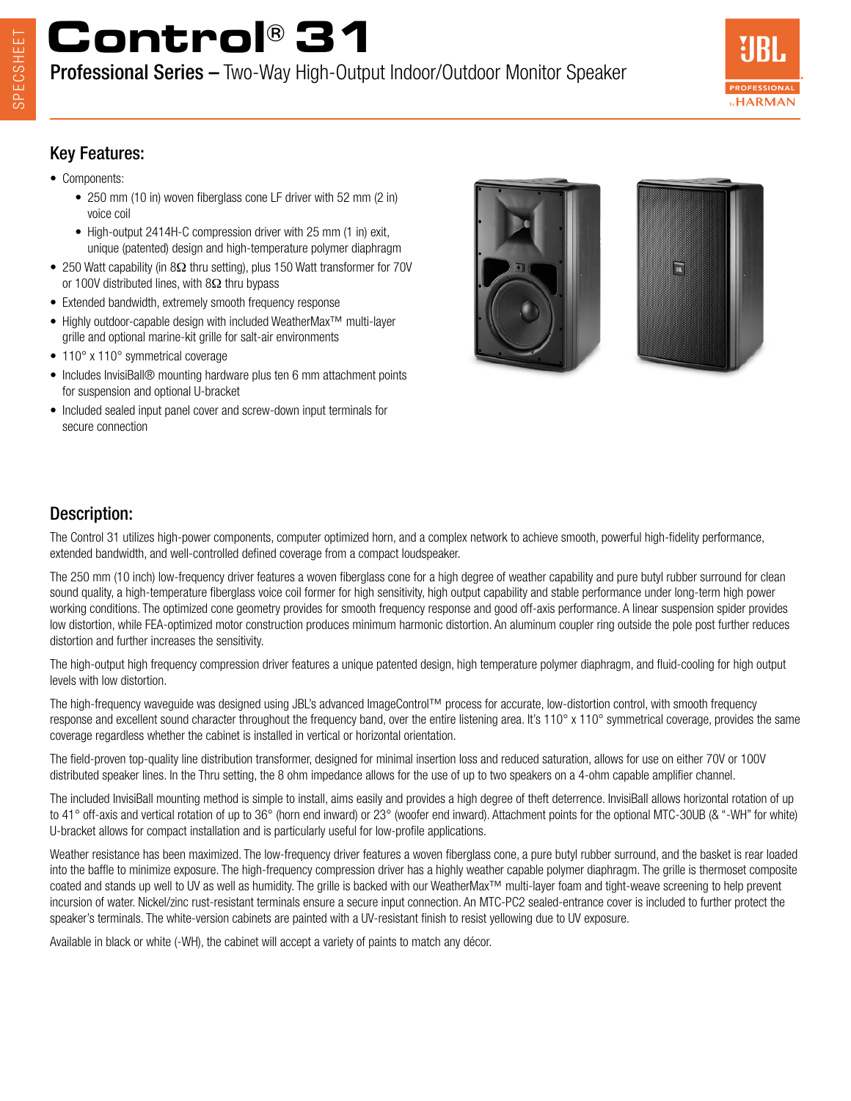# **Control® 31**

Professional Series – Two-Way High-Output Indoor/Outdoor Monitor Speaker



#### Key Features:

- Components:
	- 250 mm (10 in) woven fiberglass cone LF driver with 52 mm (2 in) voice coil
	- High-output 2414H-C compression driver with 25 mm (1 in) exit, unique (patented) design and high-temperature polymer diaphragm
- 250 Watt capability (in 8Ω thru setting), plus 150 Watt transformer for 70V or 100V distributed lines, with 8Ω thru bypass
- Extended bandwidth, extremely smooth frequency response
- Highly outdoor-capable design with included WeatherMax™ multi-layer grille and optional marine-kit grille for salt-air environments
- 110° x 110° symmetrical coverage
- Includes InvisiBall® mounting hardware plus ten 6 mm attachment points for suspension and optional U-bracket
- Included sealed input panel cover and screw-down input terminals for secure connection



#### Description:

The Control 31 utilizes high-power components, computer optimized horn, and a complex network to achieve smooth, powerful high-fidelity performance, extended bandwidth, and well-controlled defined coverage from a compact loudspeaker.

The 250 mm (10 inch) low-frequency driver features a woven fiberglass cone for a high degree of weather capability and pure butyl rubber surround for clean sound quality, a high-temperature fiberglass voice coil former for high sensitivity, high output capability and stable performance under long-term high power working conditions. The optimized cone geometry provides for smooth frequency response and good off-axis performance. A linear suspension spider provides low distortion, while FEA-optimized motor construction produces minimum harmonic distortion. An aluminum coupler ring outside the pole post further reduces distortion and further increases the sensitivity.

The high-output high frequency compression driver features a unique patented design, high temperature polymer diaphragm, and fluid-cooling for high output levels with low distortion.

The high-frequency waveguide was designed using JBL's advanced ImageControl™ process for accurate, low-distortion control, with smooth frequency response and excellent sound character throughout the frequency band, over the entire listening area. It's 110° x 110° symmetrical coverage, provides the same coverage regardless whether the cabinet is installed in vertical or horizontal orientation.

The field-proven top-quality line distribution transformer, designed for minimal insertion loss and reduced saturation, allows for use on either 70V or 100V distributed speaker lines. In the Thru setting, the 8 ohm impedance allows for the use of up to two speakers on a 4-ohm capable amplifier channel.

The included InvisiBall mounting method is simple to install, aims easily and provides a high degree of theft deterrence. InvisiBall allows horizontal rotation of up to 41° off-axis and vertical rotation of up to 36° (horn end inward) or 23° (woofer end inward). Attachment points for the optional MTC-30UB (& "-WH" for white) U-bracket allows for compact installation and is particularly useful for low-profile applications.

Weather resistance has been maximized. The low-frequency driver features a woven fiberglass cone, a pure butyl rubber surround, and the basket is rear loaded into the baffle to minimize exposure. The high-frequency compression driver has a highly weather capable polymer diaphragm. The grille is thermoset composite coated and stands up well to UV as well as humidity. The grille is backed with our WeatherMax™ multi-layer foam and tight-weave screening to help prevent incursion of water. Nickel/zinc rust-resistant terminals ensure a secure input connection. An MTC-PC2 sealed-entrance cover is included to further protect the speaker's terminals. The white-version cabinets are painted with a UV-resistant finish to resist yellowing due to UV exposure.

Available in black or white (-WH), the cabinet will accept a variety of paints to match any décor.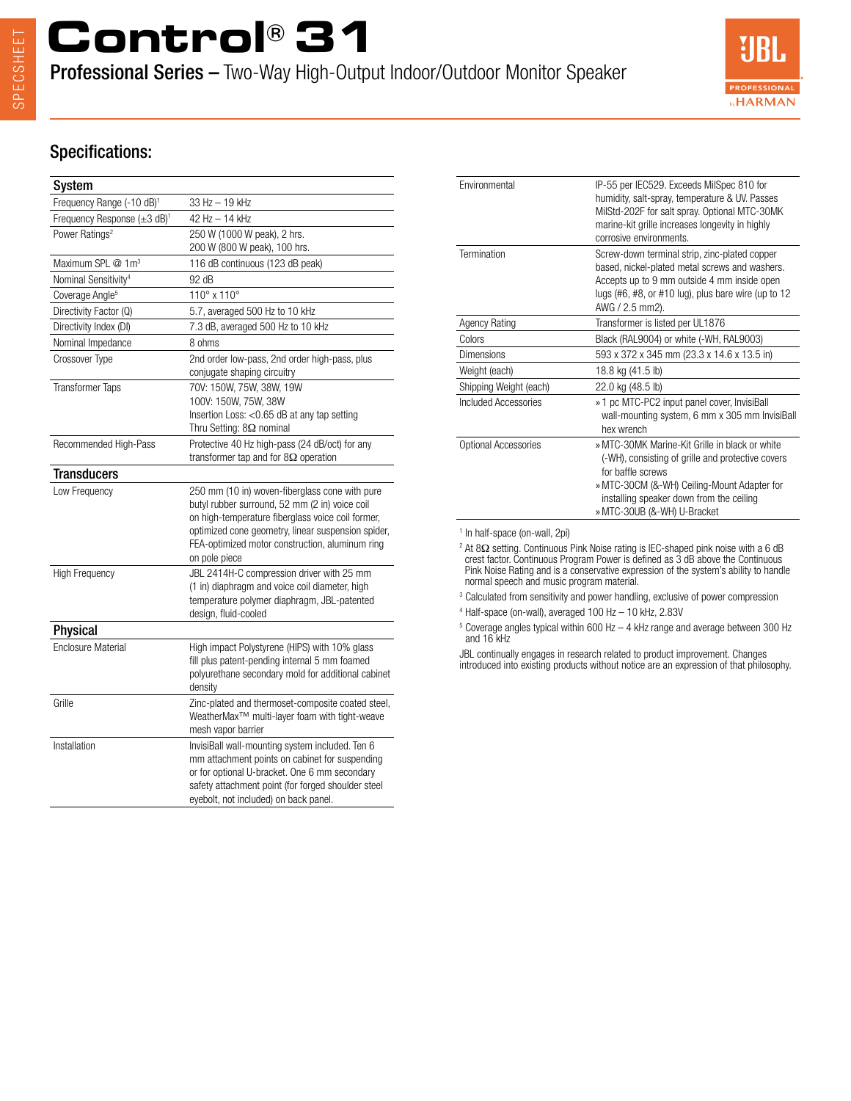## **Control® 31** Professional Series – Two-Way High-Output Indoor/Outdoor Monitor Speaker



#### Specifications:

| System                                  |                                                                                                                                                                                                                                                                                 |
|-----------------------------------------|---------------------------------------------------------------------------------------------------------------------------------------------------------------------------------------------------------------------------------------------------------------------------------|
| Frequency Range (-10 dB) <sup>1</sup>   | 33 Hz – 19 kHz                                                                                                                                                                                                                                                                  |
| Frequency Response (±3 dB) <sup>1</sup> | 42 Hz - 14 kHz                                                                                                                                                                                                                                                                  |
| Power Ratings <sup>2</sup>              | 250 W (1000 W peak), 2 hrs.                                                                                                                                                                                                                                                     |
|                                         | 200 W (800 W peak), 100 hrs.                                                                                                                                                                                                                                                    |
| Maximum SPL @ 1m <sup>3</sup>           | 116 dB continuous (123 dB peak)                                                                                                                                                                                                                                                 |
| Nominal Sensitivity <sup>4</sup>        | 92 dB                                                                                                                                                                                                                                                                           |
| Coverage Angle <sup>5</sup>             | 110° x 110°                                                                                                                                                                                                                                                                     |
| Directivity Factor (Q)                  | 5.7, averaged 500 Hz to 10 kHz                                                                                                                                                                                                                                                  |
| Directivity Index (DI)                  | 7.3 dB, averaged 500 Hz to 10 kHz                                                                                                                                                                                                                                               |
| Nominal Impedance                       | 8 ohms                                                                                                                                                                                                                                                                          |
| Crossover Type                          | 2nd order low-pass, 2nd order high-pass, plus<br>conjugate shaping circuitry                                                                                                                                                                                                    |
| <b>Transformer Taps</b>                 | 70V: 150W, 75W, 38W, 19W                                                                                                                                                                                                                                                        |
|                                         | 100V: 150W, 75W, 38W                                                                                                                                                                                                                                                            |
|                                         | Insertion Loss: < 0.65 dB at any tap setting<br>Thru Setting: 8Ω nominal                                                                                                                                                                                                        |
| Recommended High-Pass                   | Protective 40 Hz high-pass (24 dB/oct) for any<br>transformer tap and for $8\Omega$ operation                                                                                                                                                                                   |
| Transducers                             |                                                                                                                                                                                                                                                                                 |
| Low Frequency                           | 250 mm (10 in) woven-fiberglass cone with pure<br>butyl rubber surround, 52 mm (2 in) voice coil<br>on high-temperature fiberglass voice coil former,<br>optimized cone geometry, linear suspension spider,<br>FEA-optimized motor construction, aluminum ring<br>on pole piece |
| <b>High Frequency</b>                   | JBL 2414H-C compression driver with 25 mm<br>(1 in) diaphragm and voice coil diameter, high<br>temperature polymer diaphragm, JBL-patented<br>design, fluid-cooled                                                                                                              |
| <b>Physical</b>                         |                                                                                                                                                                                                                                                                                 |
| <b>Enclosure Material</b>               | High impact Polystyrene (HIPS) with 10% glass<br>fill plus patent-pending internal 5 mm foamed<br>polyurethane secondary mold for additional cabinet<br>density                                                                                                                 |
| Grille                                  | Zinc-plated and thermoset-composite coated steel,<br>WeatherMax <sup>™</sup> multi-layer foam with tight-weave<br>mesh vapor barrier                                                                                                                                            |
| Installation                            | InvisiBall wall-mounting system included. Ten 6<br>mm attachment points on cabinet for suspending<br>or for optional U-bracket. One 6 mm secondary<br>safety attachment point (for forged shoulder steel<br>eyebolt, not included) on back panel.                               |

| Environmental          | IP-55 per IEC529. Exceeds MilSpec 810 for<br>humidity, salt-spray, temperature & UV. Passes<br>MilStd-202F for salt spray. Optional MTC-30MK<br>marine-kit grille increases longevity in highly<br>corrosive environments.                         |
|------------------------|----------------------------------------------------------------------------------------------------------------------------------------------------------------------------------------------------------------------------------------------------|
| Termination            | Screw-down terminal strip, zinc-plated copper<br>based, nickel-plated metal screws and washers.<br>Accepts up to 9 mm outside 4 mm inside open<br>lugs (#6, #8, or #10 lug), plus bare wire (up to 12<br>AWG / 2.5 mm2).                           |
| <b>Agency Rating</b>   | Transformer is listed per UL1876                                                                                                                                                                                                                   |
| Colors                 | Black (RAL9004) or white (-WH, RAL9003)                                                                                                                                                                                                            |
| Dimensions             | 593 x 372 x 345 mm (23.3 x 14.6 x 13.5 in)                                                                                                                                                                                                         |
| Weight (each)          | 18.8 kg (41.5 lb)                                                                                                                                                                                                                                  |
| Shipping Weight (each) | 22.0 kg (48.5 lb)                                                                                                                                                                                                                                  |
| Included Accessories   | » 1 pc MTC-PC2 input panel cover, InvisiBall<br>wall-mounting system, 6 mm x 305 mm InvisiBall<br>hex wrench                                                                                                                                       |
| Optional Accessories   | » MTC-30MK Marine-Kit Grille in black or white<br>(-WH), consisting of grille and protective covers<br>for baffle screws<br>» MTC-30CM (&-WH) Ceiling-Mount Adapter for<br>installing speaker down from the ceiling<br>» MTC-30UB (&-WH) U-Bracket |

1 In half-space (on-wall, 2pi)

<sup>2</sup> At 8Ω setting. Continuous Pink Noise rating is IEC-shaped pink noise with a 6 dB crest factor. Continuous Program Power is defined as 3 dB above the Continuous Pink Noise Rating and is a conservative expression of the system's ability to handle normal speech and music program material.

<sup>3</sup> Calculated from sensitivity and power handling, exclusive of power compression

4 Half-space (on-wall), averaged 100 Hz – 10 kHz, 2.83V

<sup>5</sup> Coverage angles typical within 600 Hz – 4 kHz range and average between 300 Hz and 16 kHz

JBL continually engages in research related to product improvement. Changes introduced into existing products without notice are an expression of that philosophy.